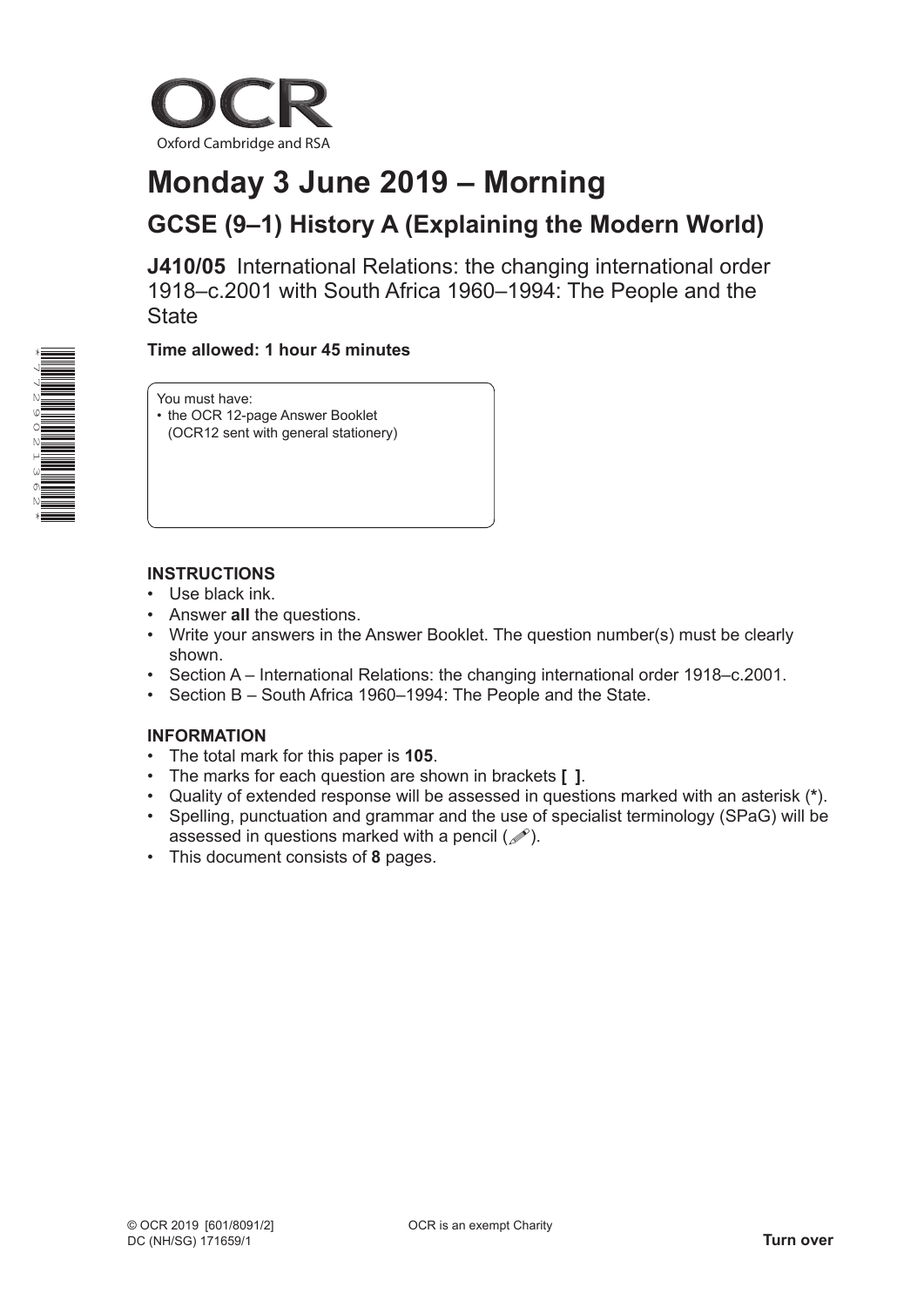

# **Monday 3 June 2019 – Morning**

# **GCSE (9–1) History A (Explaining the Modern World)**

**J410/05** International Relations: the changing international order 1918–c.2001 with South Africa 1960–1994: The People and the **State** 



# **Time allowed: 1 hour 45 minutes**

You must have:

- the OCR 12-page Answer Booklet
- (OCR12 sent with general stationery)

### **INSTRUCTIONS**

- Use black ink.
- Answer **all** the questions.
- Write your answers in the Answer Booklet. The question number(s) must be clearly shown.
- Section A International Relations: the changing international order 1918–c.2001.
- Section B South Africa 1960–1994: The People and the State.

#### **INFORMATION**

- The total mark for this paper is **105**.
- The marks for each question are shown in brackets **[ ]**.
- Quality of extended response will be assessed in questions marked with an asterisk (**\***).
- Spelling, punctuation and grammar and the use of specialist terminology (SPaG) will be assessed in questions marked with a pencil  $(\mathcal{P})$ .
- This document consists of **8** pages.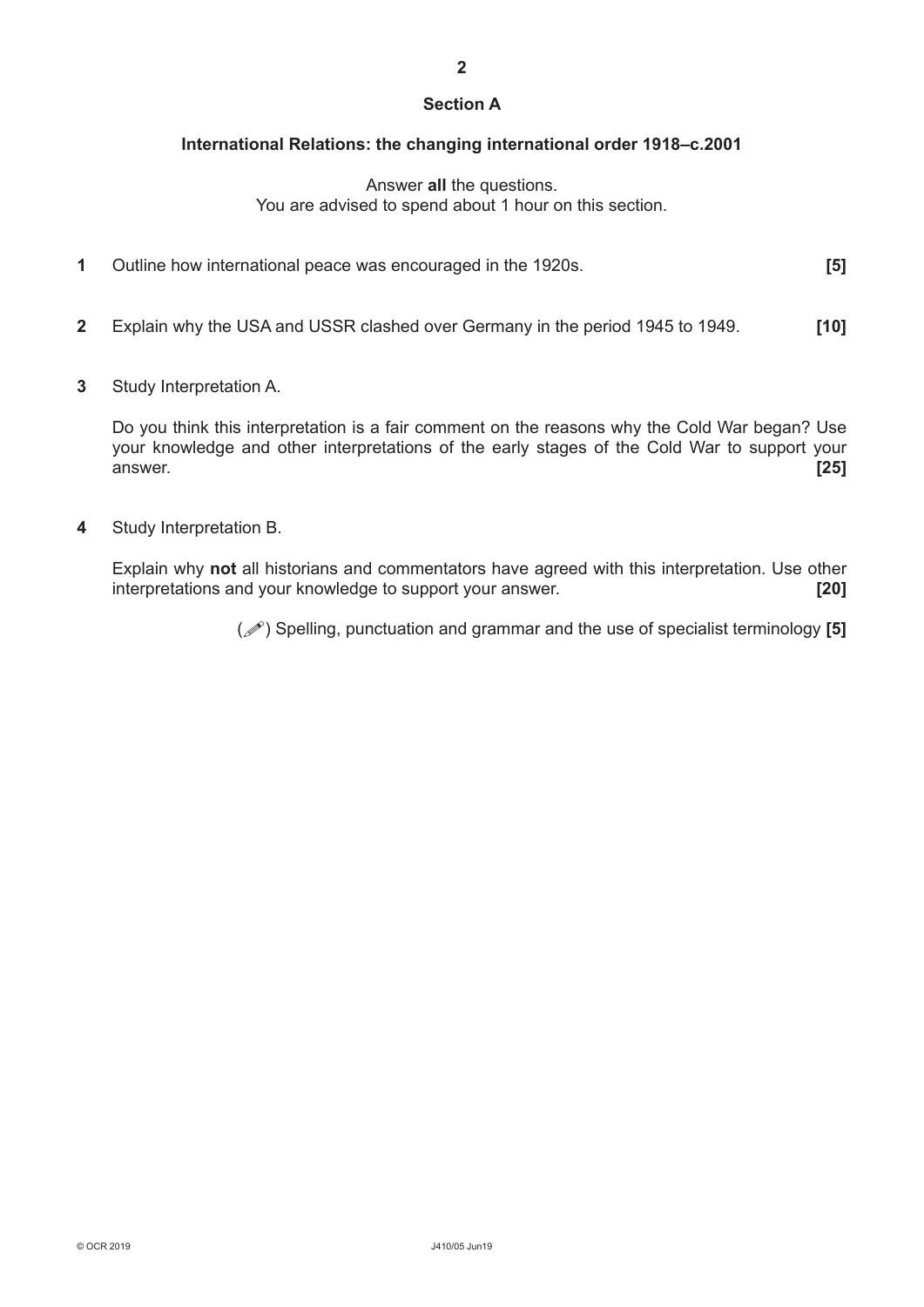#### **Section A**

#### **International Relations: the changing international order 1918–c.2001**

Answer **all** the questions. You are advised to spend about 1 hour on this section.

**1** Outline how international peace was encouraged in the 1920s. **[5]**

- **2** Explain why the USA and USSR clashed over Germany in the period 1945 to 1949. **[10]**
- **3** Study Interpretation A.

Do you think this interpretation is a fair comment on the reasons why the Cold War began? Use your knowledge and other interpretations of the early stages of the Cold War to support your<br>[25] answer. **[25]**

**4** Study Interpretation B.

Explain why **not** all historians and commentators have agreed with this interpretation. Use other interpretations and your knowledge to support your answer. **[20]**

( $\mathscr{D}$ ) Spelling, punctuation and grammar and the use of specialist terminology [5]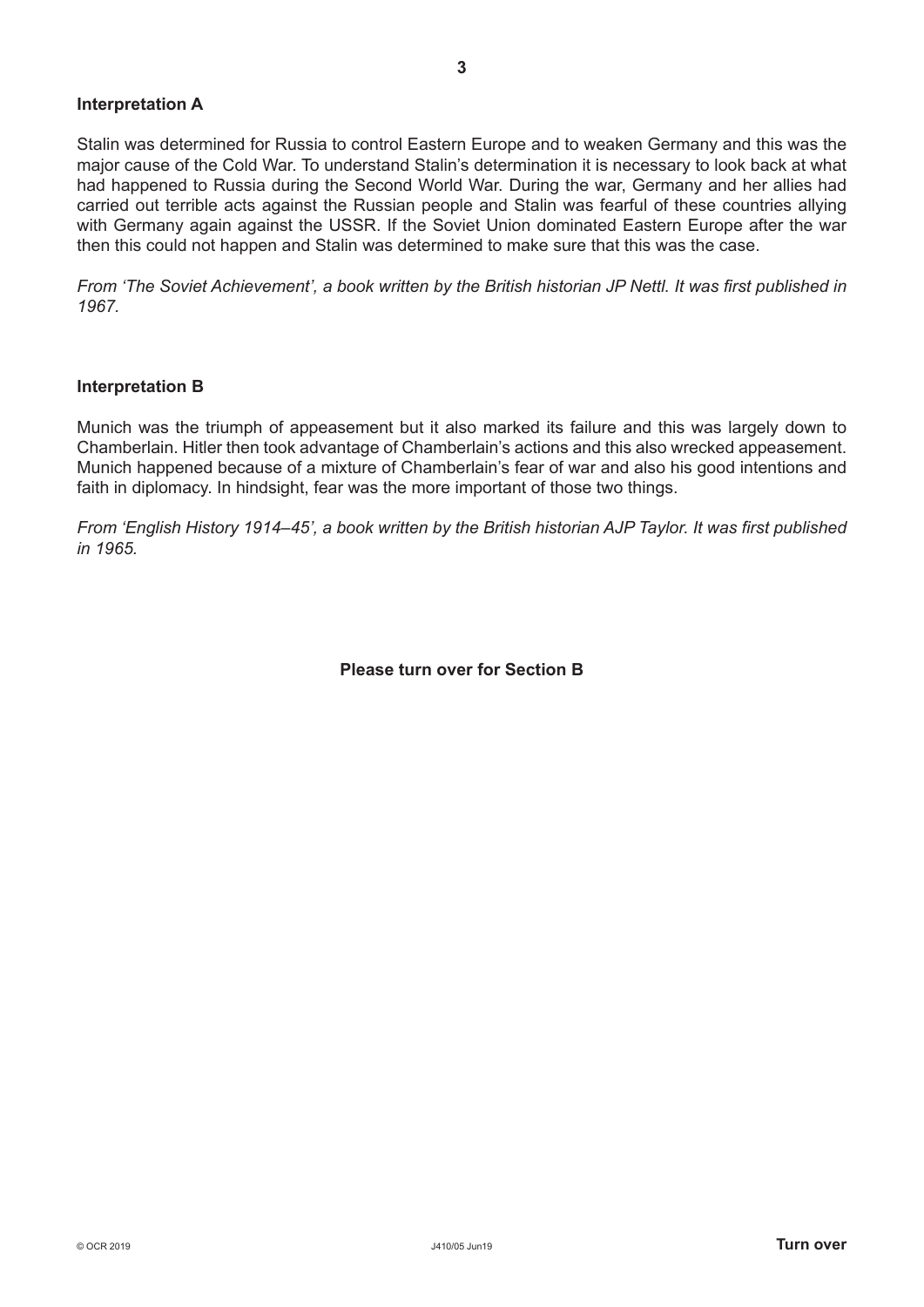#### **Interpretation A**

Stalin was determined for Russia to control Eastern Europe and to weaken Germany and this was the major cause of the Cold War. To understand Stalin's determination it is necessary to look back at what had happened to Russia during the Second World War. During the war, Germany and her allies had carried out terrible acts against the Russian people and Stalin was fearful of these countries allying with Germany again against the USSR. If the Soviet Union dominated Eastern Europe after the war then this could not happen and Stalin was determined to make sure that this was the case.

*From 'The Soviet Achievement', a book written by the British historian JP Nettl. It was first published in 1967.*

#### **Interpretation B**

Munich was the triumph of appeasement but it also marked its failure and this was largely down to Chamberlain. Hitler then took advantage of Chamberlain's actions and this also wrecked appeasement. Munich happened because of a mixture of Chamberlain's fear of war and also his good intentions and faith in diplomacy. In hindsight, fear was the more important of those two things.

*From 'English History 1914–45', a book written by the British historian AJP Taylor. It was first published in 1965.*

**Please turn over for Section B**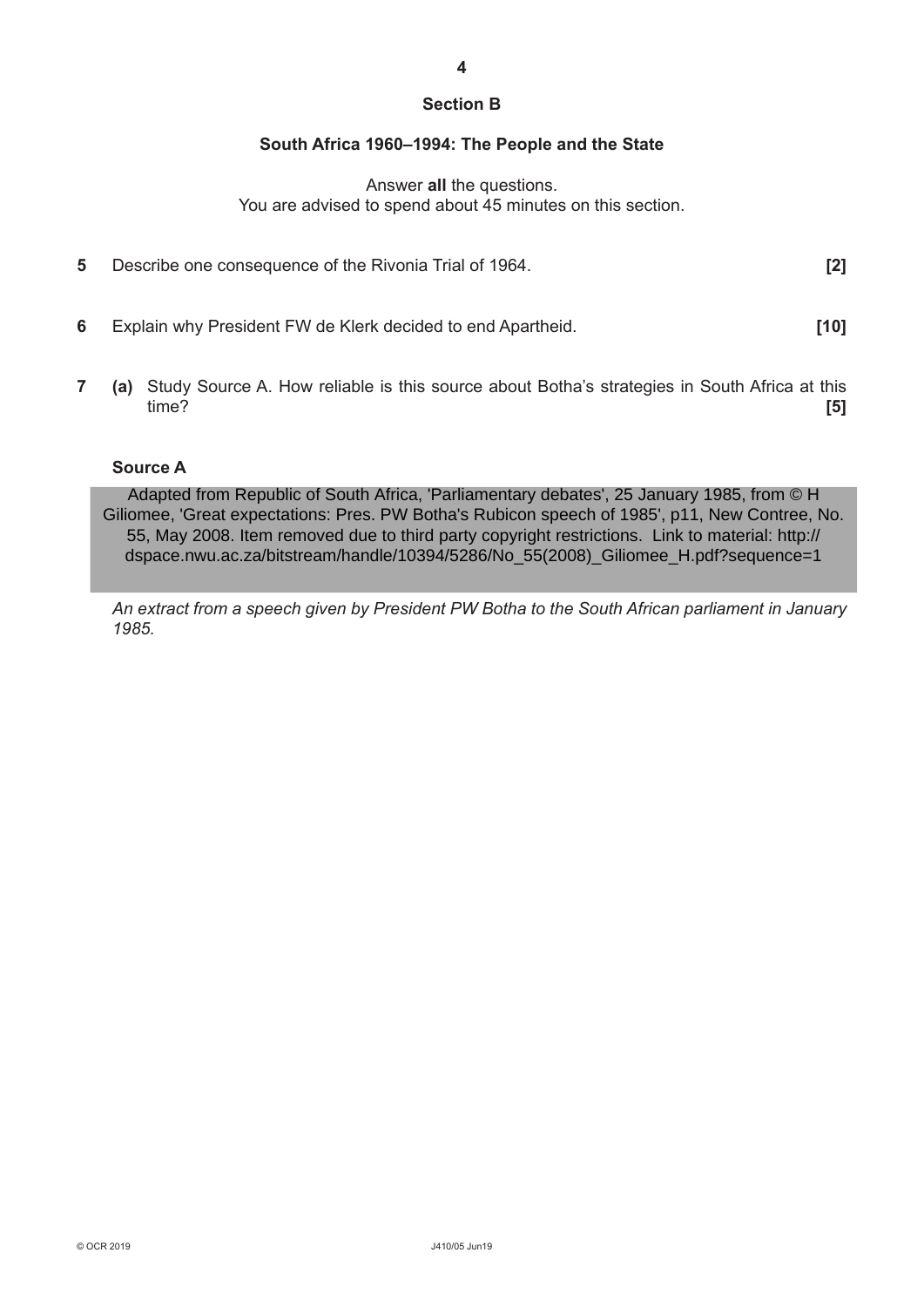#### **Section B**

#### **South Africa 1960–1994: The People and the State**

Answer **all** the questions. You are advised to spend about 45 minutes on this section.

| 5 Describe one consequence of the Rivonia Trial of 1964. | $[2]$ |
|----------------------------------------------------------|-------|
|                                                          |       |

- **6** Explain why President FW de Klerk decided to end Apartheid. **[10]**
- **7 (a)** Study Source A. How reliable is this source about Botha's strategies in South Africa at this time? **[5]**

#### **Source A**

Adapted from Republic of South Africa, 'Parliamentary debates', 25 January 1985, from © H Giliomee, 'Great expectations: Pres. PW Botha's Rubicon speech of 1985', p11, New Contree, No. 55, May 2008. Item removed due to third party copyright restrictions. Link to material: http:// dspace.nwu.ac.za/bitstream/handle/10394/5286/No\_55(2008)\_Giliomee\_H.pdf?sequence=1

*An extract from a speech given by President PW Botha to the South African parliament in January 1985.*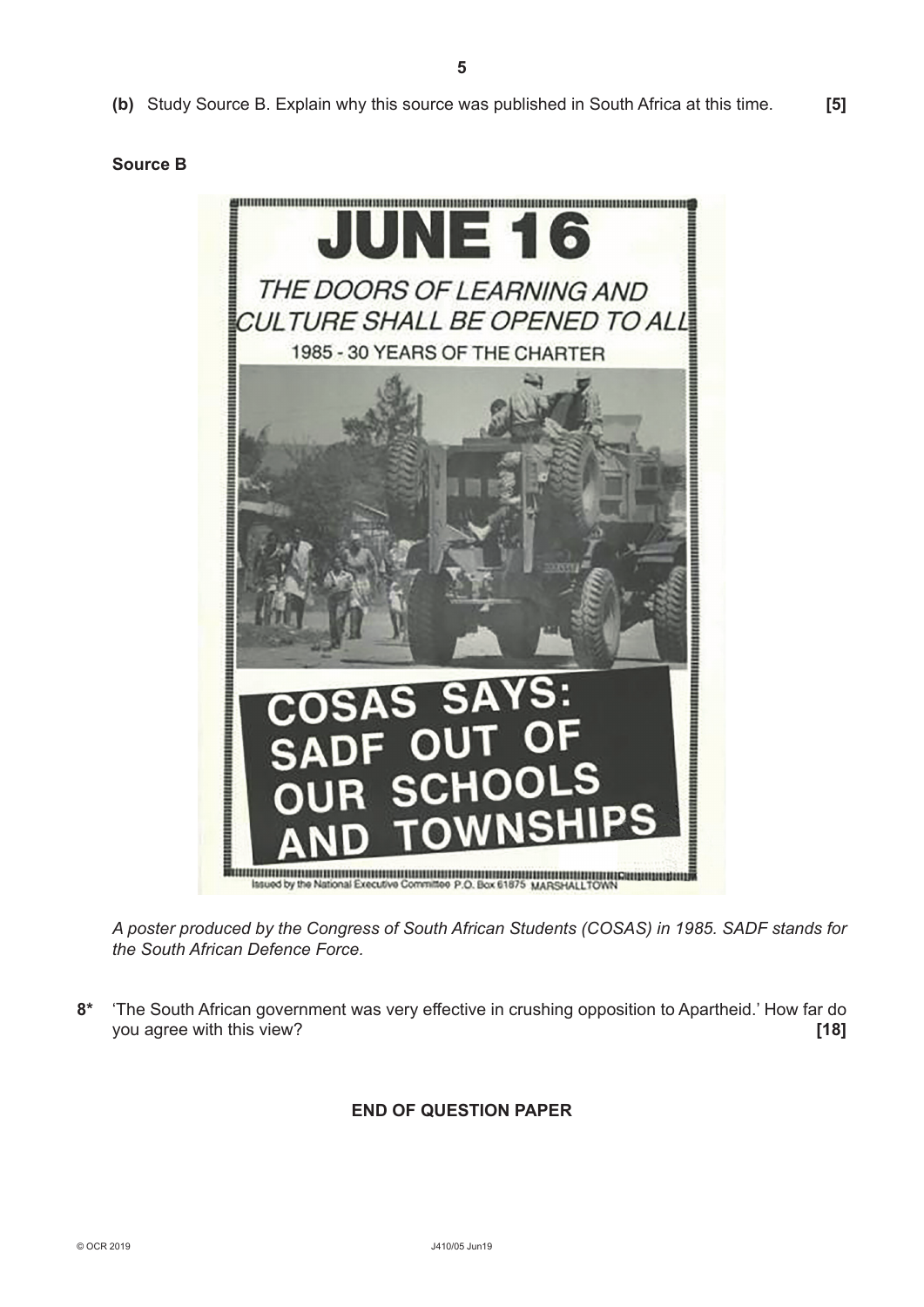**Source B**



*A poster produced by the Congress of South African Students (COSAS) in 1985. SADF stands for the South African Defence Force.*

**8\*** 'The South African government was very effective in crushing opposition to Apartheid.' How far do you agree with this view? **[18]**

# **END OF QUESTION PAPER**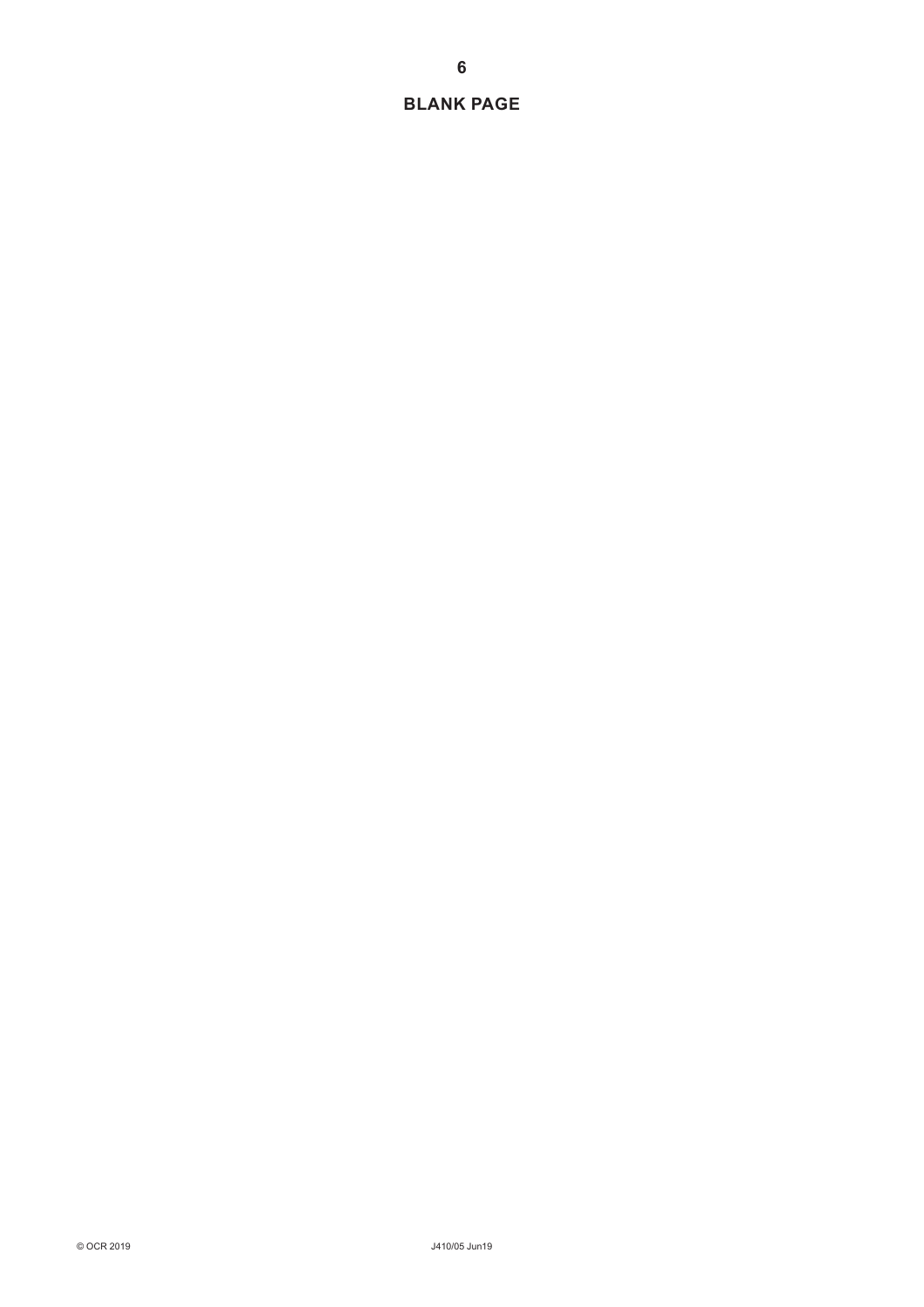# **BLANK PAGE**

**6**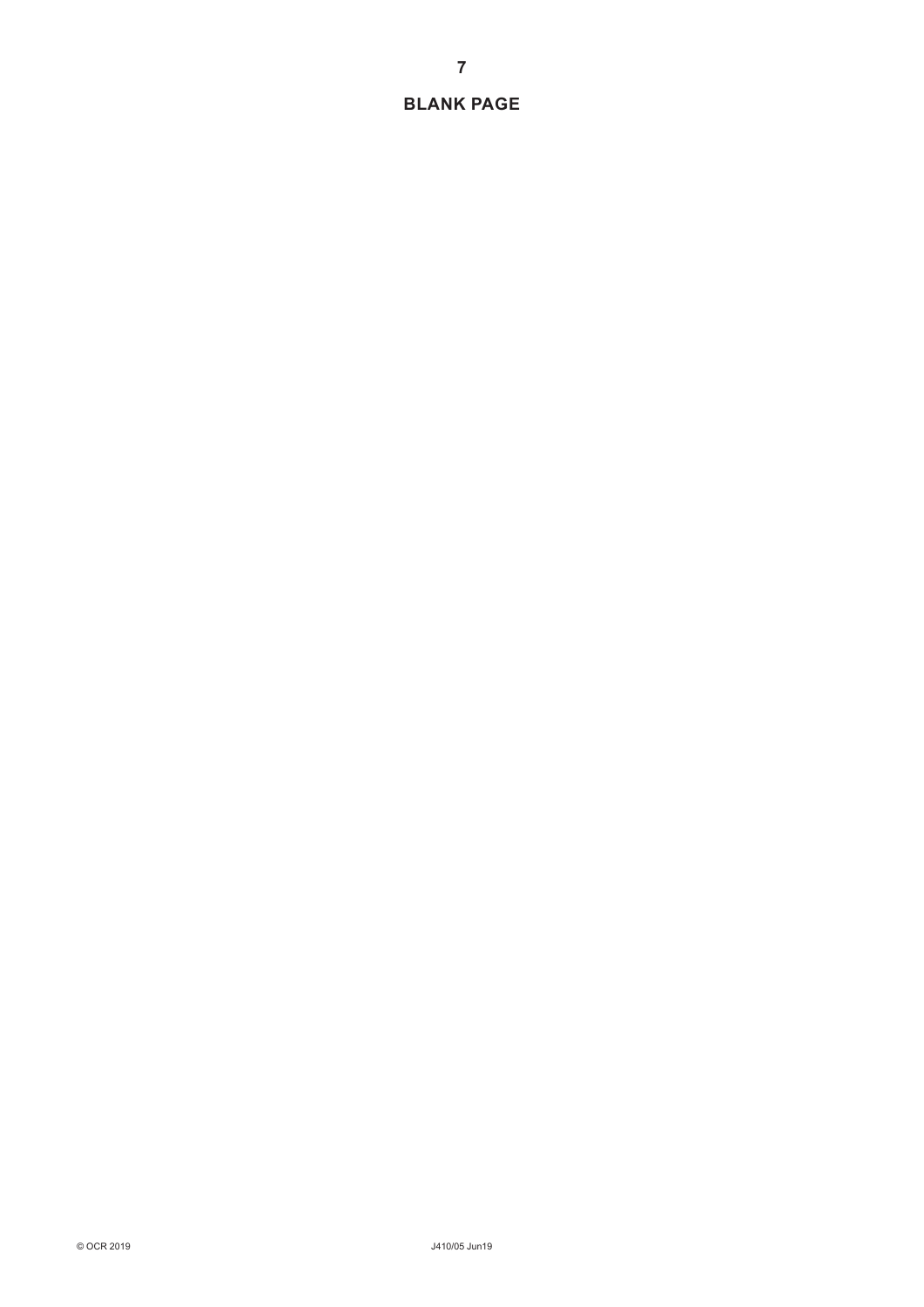# **BLANK PAGE**

**7**